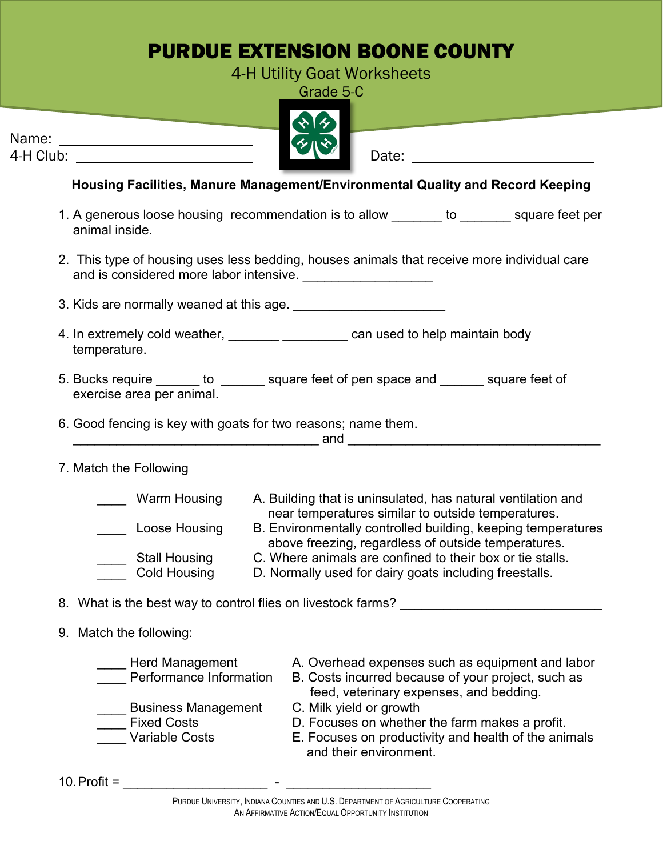## PURDUE EXTENSION BOONE COUNTY

4-H Utility Goat Worksheets Grade 5-C

|           | $\mathbf{W}$ |
|-----------|--------------|
| Name:     | ≮∧☆          |
| 4-H Club: | Date:        |

**Housing Facilities, Manure Management/Environmental Quality and Record Keeping**

- 1. A generous loose housing recommendation is to allow to to example square feet per animal inside.
- 2. This type of housing uses less bedding, houses animals that receive more individual care and is considered more labor intensive. \_\_\_\_\_\_\_\_\_\_\_\_\_\_\_\_\_\_
- 3. Kids are normally weaned at this age. \_\_\_\_\_\_\_\_\_\_\_\_\_\_\_\_\_\_\_\_\_
- 4. In extremely cold weather, \_\_\_\_\_\_\_\_\_\_\_\_\_\_\_\_\_\_\_\_\_ can used to help maintain body temperature.
- 5. Bucks require \_\_\_\_\_\_ to \_\_\_\_\_\_ square feet of pen space and \_\_\_\_\_\_ square feet of exercise area per animal.
- 6. Good fencing is key with goats for two reasons; name them.  $\blacksquare$  and  $\blacksquare$ 
	-

7. Match the Following

| Warm Housing         | A. Building that is uninsulated, has natural ventilation and |
|----------------------|--------------------------------------------------------------|
|                      | near temperatures similar to outside temperatures.           |
| Loose Housing        | B. Environmentally controlled building, keeping temperatures |
|                      | above freezing, regardless of outside temperatures.          |
| <b>Stall Housing</b> | C. Where animals are confined to their box or tie stalls.    |
| <b>Cold Housing</b>  | D. Normally used for dairy goats including freestalls.       |

8. What is the best way to control flies on livestock farms?

## 9. Match the following:

Herd Management A. Overhead expenses such as equipment and labor Performance Information B. Costs incurred because of your project, such as feed, veterinary expenses, and bedding. Eusiness Management C. Milk yield or growth Fixed Costs **D. Focuses on whether the farm makes a profit.** Variable Costs **E. Focuses on productivity and health of the animals** and their environment.